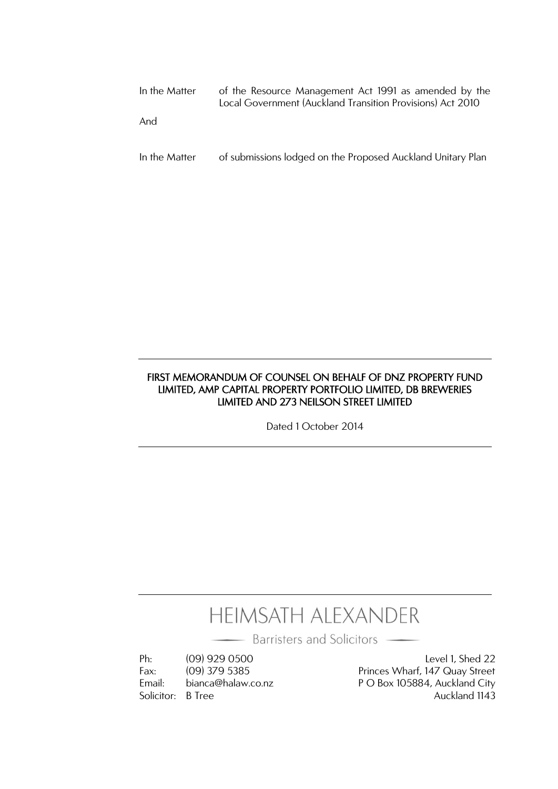| In the Matter | of the Resource Management Act 1991 as amended by the<br>Local Government (Auckland Transition Provisions) Act 2010 |
|---------------|---------------------------------------------------------------------------------------------------------------------|
| And           |                                                                                                                     |
|               |                                                                                                                     |
| In the Matter | of submissions lodged on the Proposed Auckland Unitary Plan                                                         |

## FIRST MEMORANDUM OF COUNSEL ON BEHALF OF DNZ PROPERTY FUND LIMITED, AMP CAPITAL PROPERTY PORTFOLIO LIMITED, DB BREWERIES LIMITED AND 273 NEILSON STREET LIMITED

Dated 1 October 2014

# HEIMSATH ALEXANDER

Barristers and Solicitors —

Ph: (09) 929 0500 Level 1, Shed 22 Fax: (09) 379 5385 Princes Wharf, 147 Quay Street Email: bianca@halaw.co.nz P O Box 105884, Auckland City Solicitor: B Tree Auckland 1143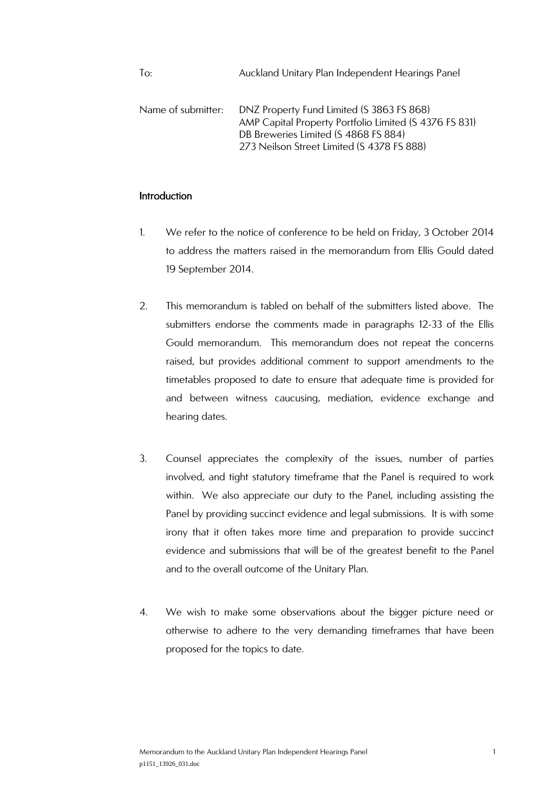| To:                | Auckland Unitary Plan Independent Hearings Panel                                                                                            |
|--------------------|---------------------------------------------------------------------------------------------------------------------------------------------|
| Name of submitter: | DNZ Property Fund Limited (S 3863 FS 868)<br>AMP Capital Property Portfolio Limited (S 4376 FS 831)<br>DB Breweries Limited (S 4868 FS 884) |
|                    | 273 Neilson Street Limited (S 4378 FS 888)                                                                                                  |

### Introduction

- 1. We refer to the notice of conference to be held on Friday, 3 October 2014 to address the matters raised in the memorandum from Ellis Gould dated 19 September 2014.
- 2. This memorandum is tabled on behalf of the submitters listed above. The submitters endorse the comments made in paragraphs 12-33 of the Ellis Gould memorandum. This memorandum does not repeat the concerns raised, but provides additional comment to support amendments to the timetables proposed to date to ensure that adequate time is provided for and between witness caucusing, mediation, evidence exchange and hearing dates.
- 3. Counsel appreciates the complexity of the issues, number of parties involved, and tight statutory timeframe that the Panel is required to work within. We also appreciate our duty to the Panel, including assisting the Panel by providing succinct evidence and legal submissions. It is with some irony that it often takes more time and preparation to provide succinct evidence and submissions that will be of the greatest benefit to the Panel and to the overall outcome of the Unitary Plan.
- 4. We wish to make some observations about the bigger picture need or otherwise to adhere to the very demanding timeframes that have been proposed for the topics to date.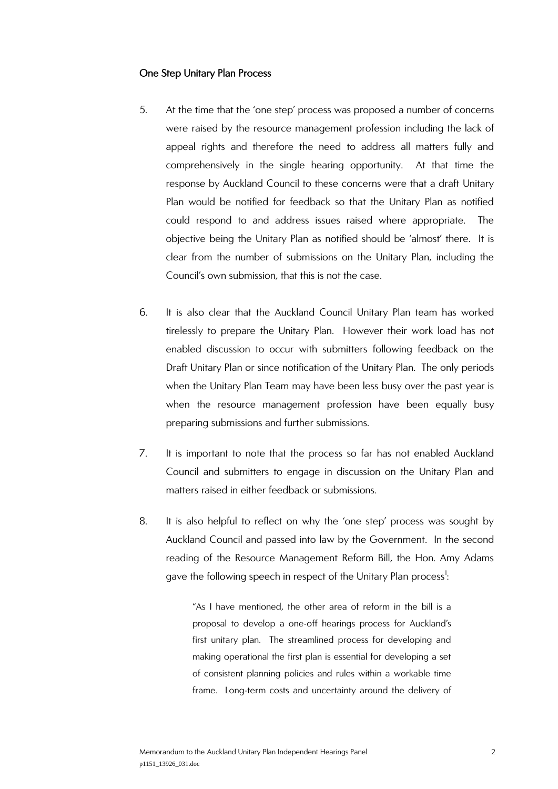#### One Step Unitary Plan Process

- 5. At the time that the 'one step' process was proposed a number of concerns were raised by the resource management profession including the lack of appeal rights and therefore the need to address all matters fully and comprehensively in the single hearing opportunity. At that time the response by Auckland Council to these concerns were that a draft Unitary Plan would be notified for feedback so that the Unitary Plan as notified could respond to and address issues raised where appropriate. The objective being the Unitary Plan as notified should be 'almost' there. It is clear from the number of submissions on the Unitary Plan, including the Council's own submission, that this is not the case.
- 6. It is also clear that the Auckland Council Unitary Plan team has worked tirelessly to prepare the Unitary Plan. However their work load has not enabled discussion to occur with submitters following feedback on the Draft Unitary Plan or since notification of the Unitary Plan. The only periods when the Unitary Plan Team may have been less busy over the past year is when the resource management profession have been equally busy preparing submissions and further submissions.
- 7. It is important to note that the process so far has not enabled Auckland Council and submitters to engage in discussion on the Unitary Plan and matters raised in either feedback or submissions.
- 8. It is also helpful to reflect on why the 'one step' process was sought by Auckland Council and passed into law by the Government. In the second reading of the Resource Management Reform Bill, the Hon. Amy Adams gave the following speech in respect of the Unitary Plan process<sup>1</sup>:

"As I have mentioned, the other area of reform in the bill is a proposal to develop a one-off hearings process for Auckland's first unitary plan. The streamlined process for developing and making operational the first plan is essential for developing a set of consistent planning policies and rules within a workable time frame. Long-term costs and uncertainty around the delivery of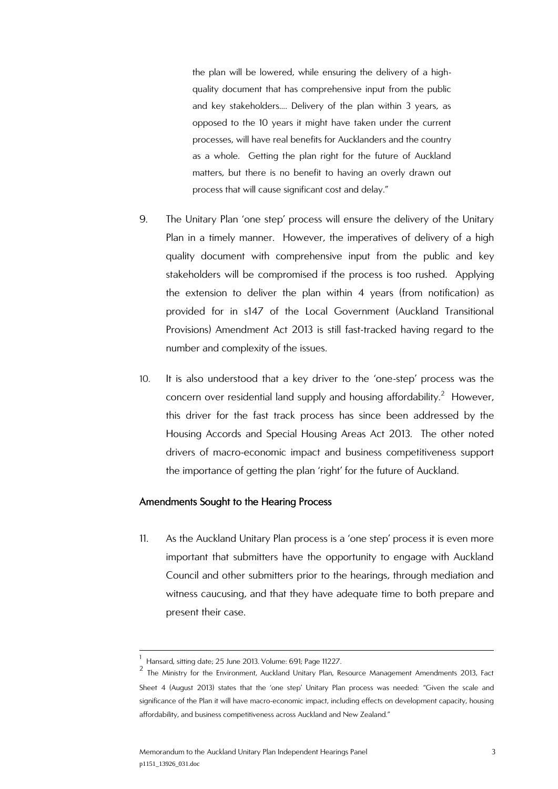the plan will be lowered, while ensuring the delivery of a highquality document that has comprehensive input from the public and key stakeholders…. Delivery of the plan within 3 years, as opposed to the 10 years it might have taken under the current processes, will have real benefits for Aucklanders and the country as a whole. Getting the plan right for the future of Auckland matters, but there is no benefit to having an overly drawn out process that will cause significant cost and delay."

- 9. The Unitary Plan 'one step' process will ensure the delivery of the Unitary Plan in a timely manner. However, the imperatives of delivery of a high quality document with comprehensive input from the public and key stakeholders will be compromised if the process is too rushed. Applying the extension to deliver the plan within 4 years (from notification) as provided for in s147 of the Local Government (Auckland Transitional Provisions) Amendment Act 2013 is still fast-tracked having regard to the number and complexity of the issues.
- 10. It is also understood that a key driver to the 'one-step' process was the concern over residential land supply and housing affordability.<sup>2</sup> However, this driver for the fast track process has since been addressed by the Housing Accords and Special Housing Areas Act 2013. The other noted drivers of macro-economic impact and business competitiveness support the importance of getting the plan 'right' for the future of Auckland.

#### Amendments Sought to the Hearing Process

11. As the Auckland Unitary Plan process is a 'one step' process it is even more important that submitters have the opportunity to engage with Auckland Council and other submitters prior to the hearings, through mediation and witness caucusing, and that they have adequate time to both prepare and present their case.

1

<sup>1</sup> Hansard, sitting date; 25 June 2013. Volume: 691; Page 11227.

 $^2$  The Ministry for the Environment, Auckland Unitary Plan, Resource Management Amendments 2013, Fact Sheet 4 (August 2013) states that the 'one step' Unitary Plan process was needed: "Given the scale and significance of the Plan it will have macro-economic impact, including effects on development capacity, housing affordability, and business competitiveness across Auckland and New Zealand."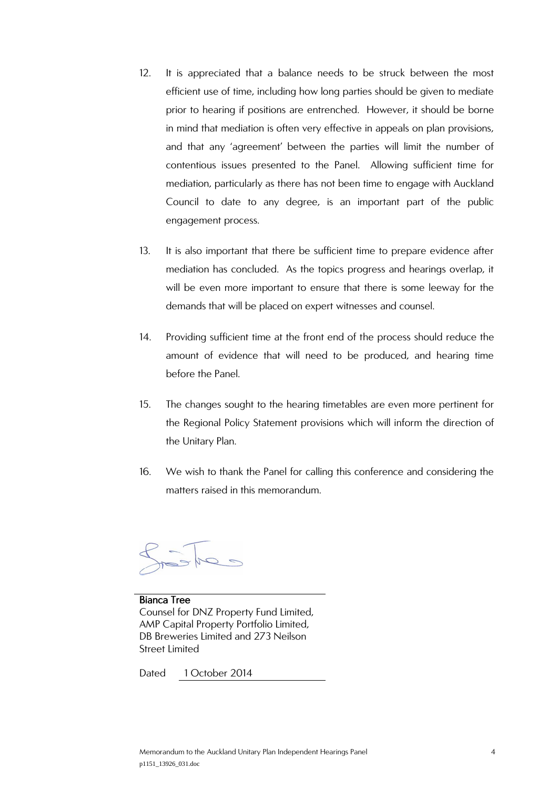- 12. It is appreciated that a balance needs to be struck between the most efficient use of time, including how long parties should be given to mediate prior to hearing if positions are entrenched. However, it should be borne in mind that mediation is often very effective in appeals on plan provisions, and that any 'agreement' between the parties will limit the number of contentious issues presented to the Panel. Allowing sufficient time for mediation, particularly as there has not been time to engage with Auckland Council to date to any degree, is an important part of the public engagement process.
- 13. It is also important that there be sufficient time to prepare evidence after mediation has concluded. As the topics progress and hearings overlap, it will be even more important to ensure that there is some leeway for the demands that will be placed on expert witnesses and counsel.
- 14. Providing sufficient time at the front end of the process should reduce the amount of evidence that will need to be produced, and hearing time before the Panel.
- 15. The changes sought to the hearing timetables are even more pertinent for the Regional Policy Statement provisions which will inform the direction of the Unitary Plan.
- 16. We wish to thank the Panel for calling this conference and considering the matters raised in this memorandum.

Bianca Tree Counsel for DNZ Property Fund Limited, AMP Capital Property Portfolio Limited, DB Breweries Limited and 273 Neilson Street Limited

Dated 1 October 2014